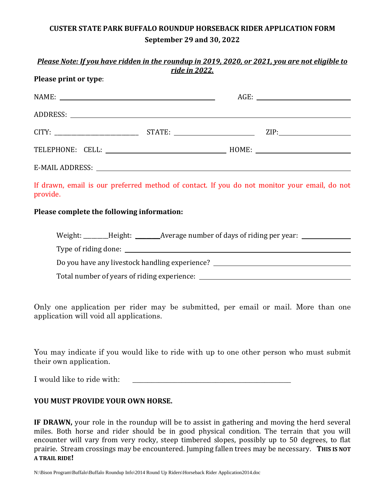## **CUSTER STATE PARK BUFFALO ROUNDUP HORSEBACK RIDER APPLICATION FORM September 29 and 30, 2022**

|                                            | <u>ride in 2022.</u> | Please Note: If you have ridden in the roundup in 2019, 2020, or 2021, you are not eligible to |
|--------------------------------------------|----------------------|------------------------------------------------------------------------------------------------|
| Please print or type:                      |                      |                                                                                                |
|                                            | NAME:                |                                                                                                |
|                                            |                      |                                                                                                |
|                                            |                      |                                                                                                |
|                                            |                      |                                                                                                |
|                                            |                      |                                                                                                |
| provide.                                   |                      | If drawn, email is our preferred method of contact. If you do not monitor your email, do not   |
| Please complete the following information: |                      |                                                                                                |
|                                            |                      | Weight: _______Height: _______Average number of days of riding per year: ________              |
|                                            |                      |                                                                                                |
|                                            |                      | Do you have any livestock handling experience? _________________________________               |
|                                            |                      |                                                                                                |
|                                            |                      |                                                                                                |

Only one application per rider may be submitted, per email or mail. More than one application will void all applications.

You may indicate if you would like to ride with up to one other person who must submit their own application.

I would like to ride with:

## **YOU MUST PROVIDE YOUR OWN HORSE.**

**IF DRAWN,** your role in the roundup will be to assist in gathering and moving the herd several miles. Both horse and rider should be in good physical condition. The terrain that you will encounter will vary from very rocky, steep timbered slopes, possibly up to 50 degrees, to flat prairie. Stream crossings may be encountered. Jumping fallen trees may be necessary. **THIS IS NOT A TRAIL RIDE!**